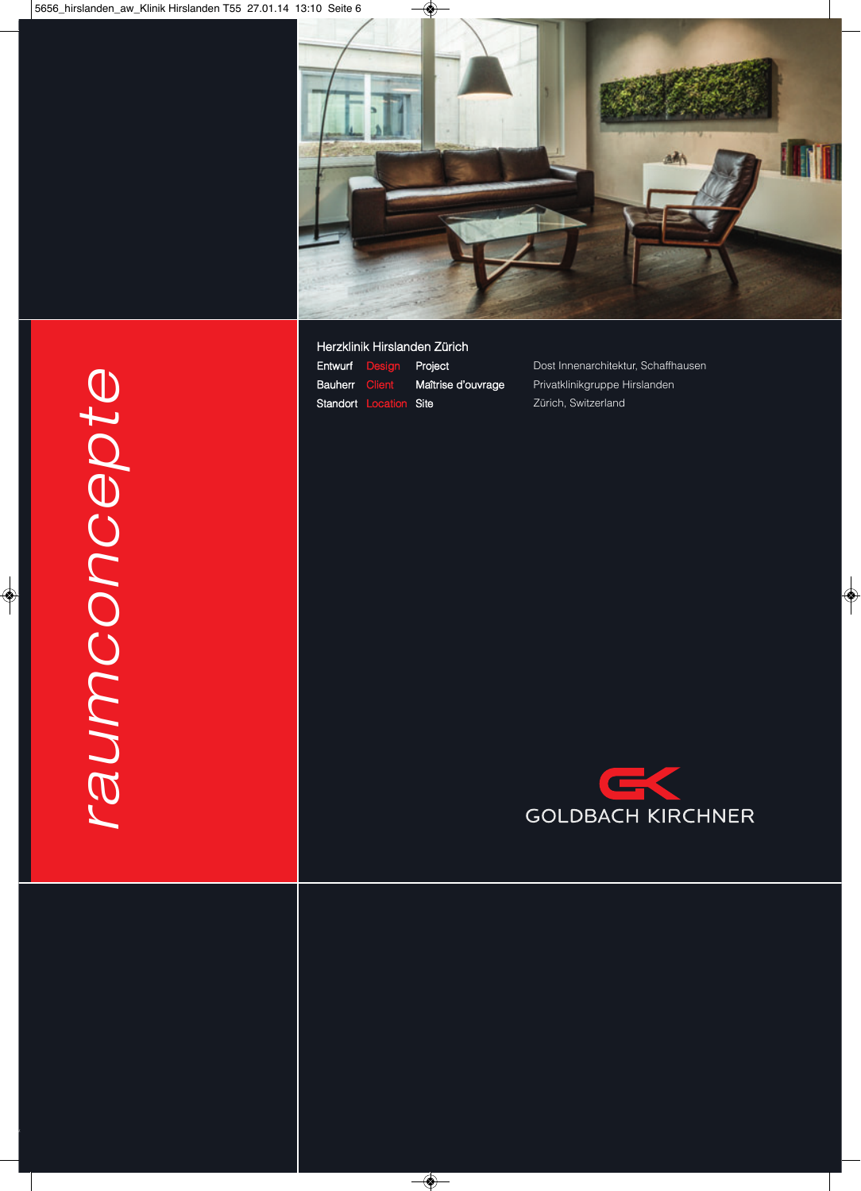

# raumconcepte raumconcepte

# Herzklinik Hirslanden zürich

Entwurf Design Project **Dost innenarchitektur, Schaffhausen** Bauherr Client Maîtrise d'ouvrage Privatklinikgruppe Hirslanden Bauhen Shent Mathise d'Ouvrage Thyankiningruppen<br>Standort Location Site Zürich, Switzerland

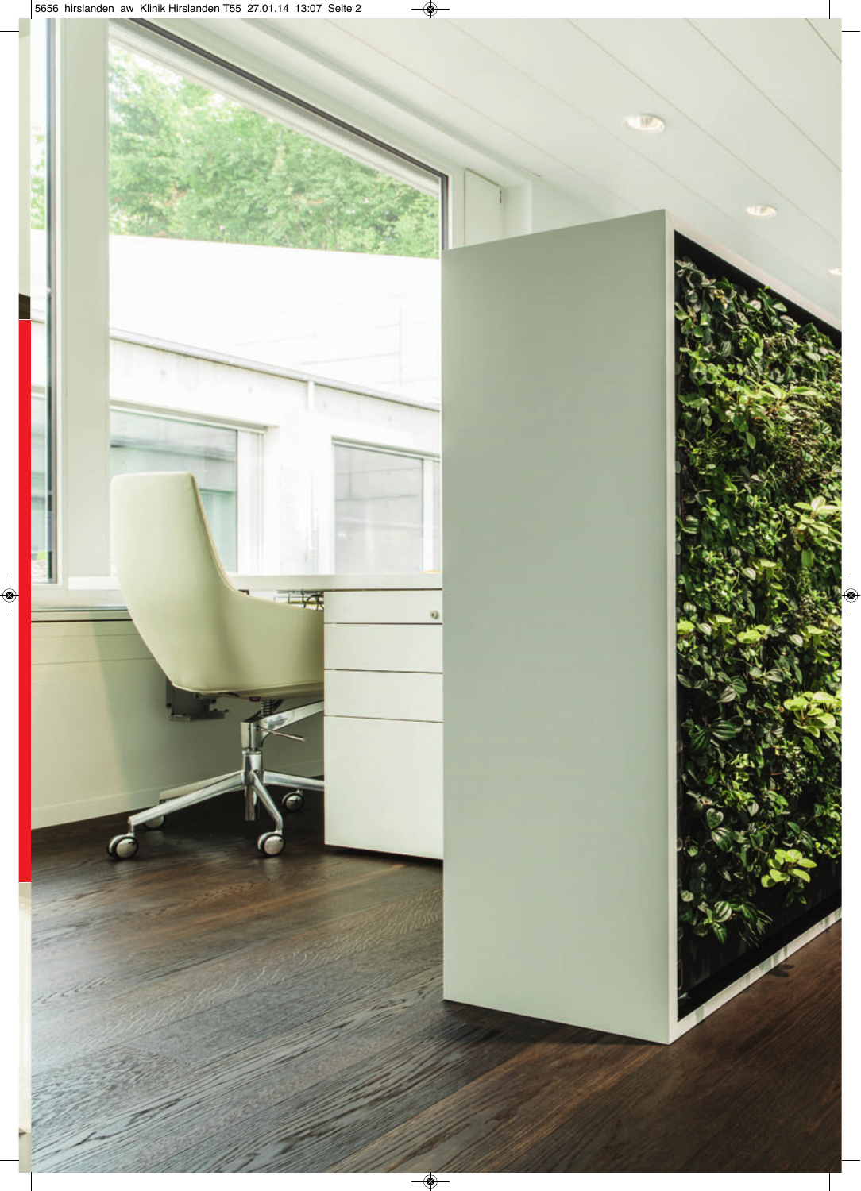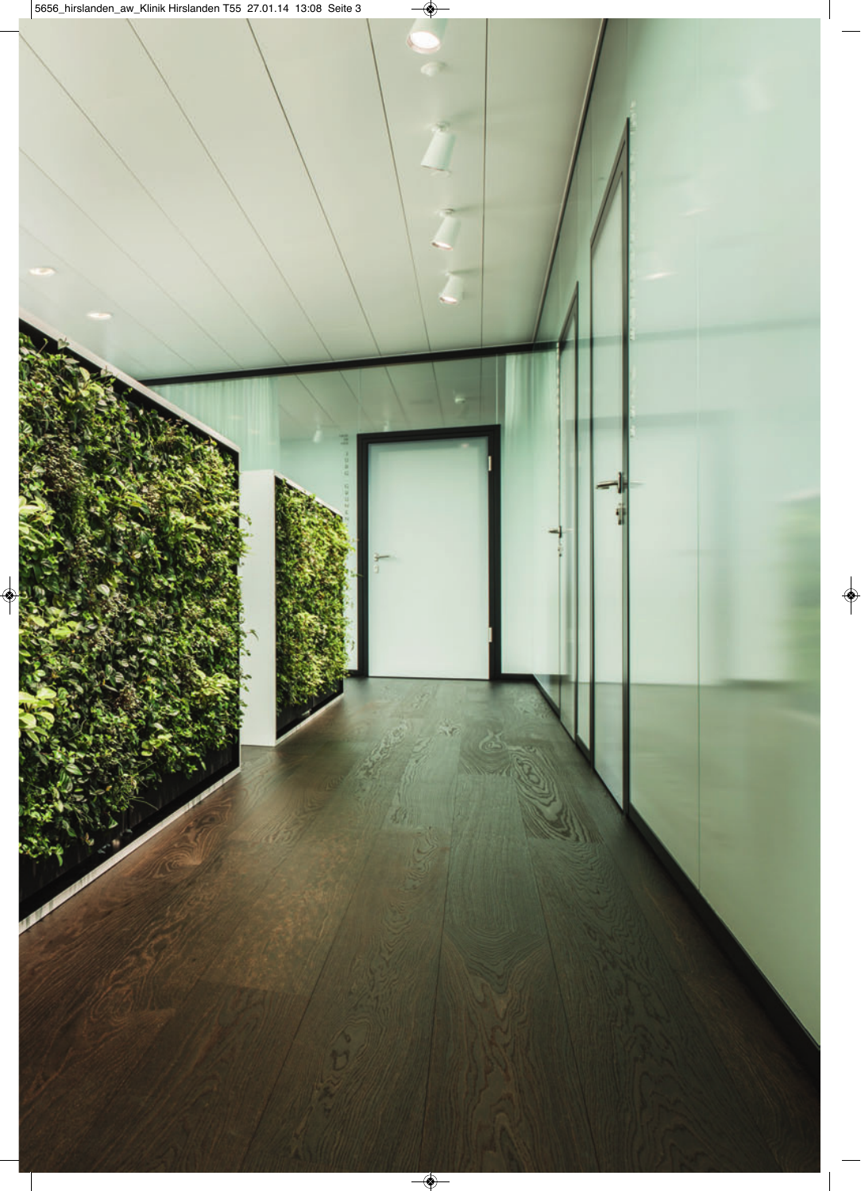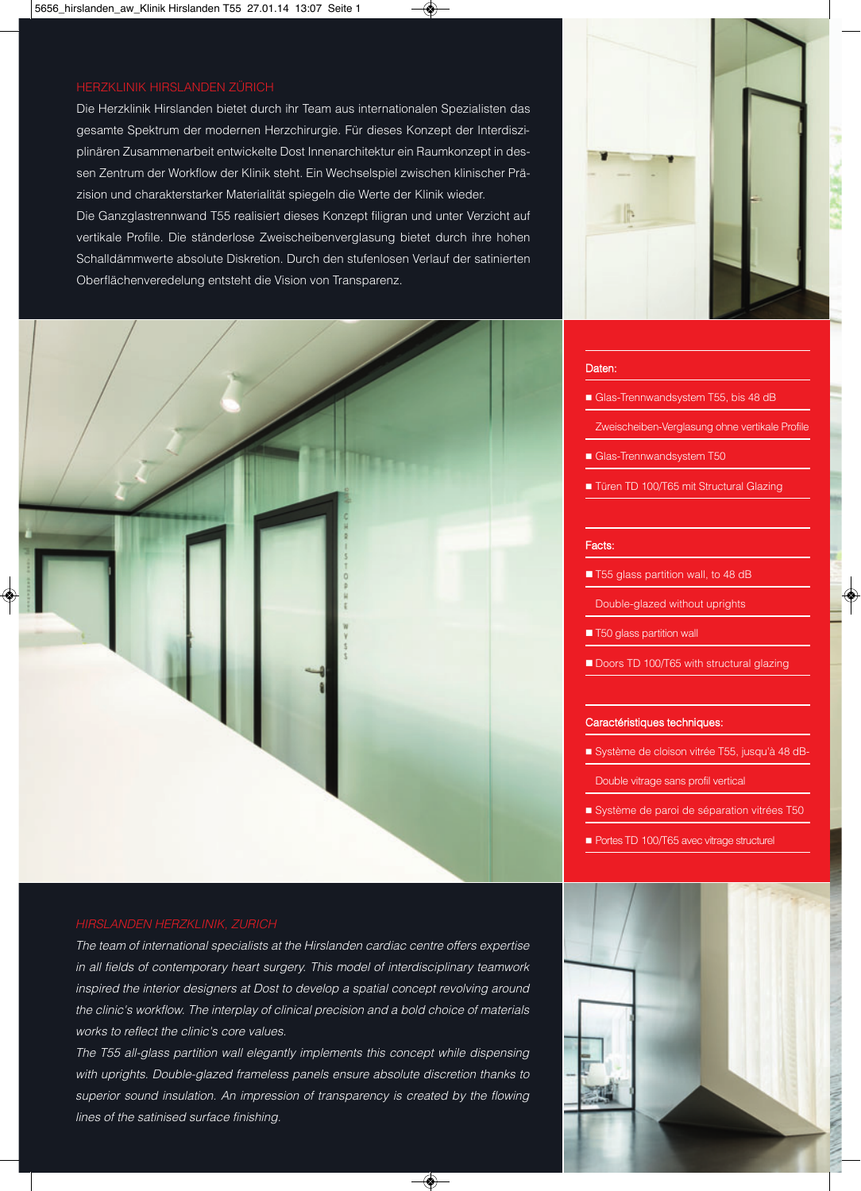## HERZKLINIK HIRSLANDEN ZÜRICH

Die Herzklinik Hirslanden bietet durch ihr Team aus internationalen Spezialisten das gesamte spektrum der modernen Herzchirurgie. Für dieses Konzept der interdisziplinären Zusammenarbeit entwickelte Dost Innenarchitektur ein Raumkonzept in dessen Zentrum der Workflow der Klinik steht. Ein Wechselspiel zwischen klinischer Präzision und charakterstarker Materialität spiegeln die Werte der Klinik wieder. Die Ganzglastrennwand T55 realisiert dieses Konzept filigran und unter Verzicht auf vertikale Profile. Die ständerlose Zweischeibenverglasung bietet durch ihre hohen Schalldämmwerte absolute Diskretion. Durch den stufenlosen Verlauf der satinierten Oberflächenveredelung entsteht die Vision von Transparenz.



# Hirslanden HerzKliniK, zuricH

The team of international specialists at the Hirslanden cardiac centre offers expertise in all fields of contemporary heart surgery. This model of interdisciplinary teamwork inspired the interior designers at Dost to develop a spatial concept revolving around the clinic's workflow. The interplay of clinical precision and a bold choice of materials works to reflect the clinic's core values.

The T55 all-glass partition wall elegantly implements this concept while dispensing with uprights. Double-glazed frameless panels ensure absolute discretion thanks to superior sound insulation. An impression of transparency is created by the flowing lines of the satinised surface finishing.



### Daten:

- Glas-Trennwandsystem T55, bis 48 dB
	- zweischeiben-Verglasung ohne vertikale Profile
- **n** Glas-Trennwandsystem T50
- Türen TD 100/T65 mit Structural Glazing

### Facts:

- T55 glass partition wall, to 48 dB
	- Double-glazed without uprights
- T50 glass partition wall
- Doors TD 100/T65 with structural glazing

### caractéristiques techniques:

- Système de cloison vitrée T55, jusqu'à 48 dB-
- Double vitrage sans profil vertical
- Système de paroi de séparation vitrées T50
- Portes TD 100/T65 avec vitrage structurel

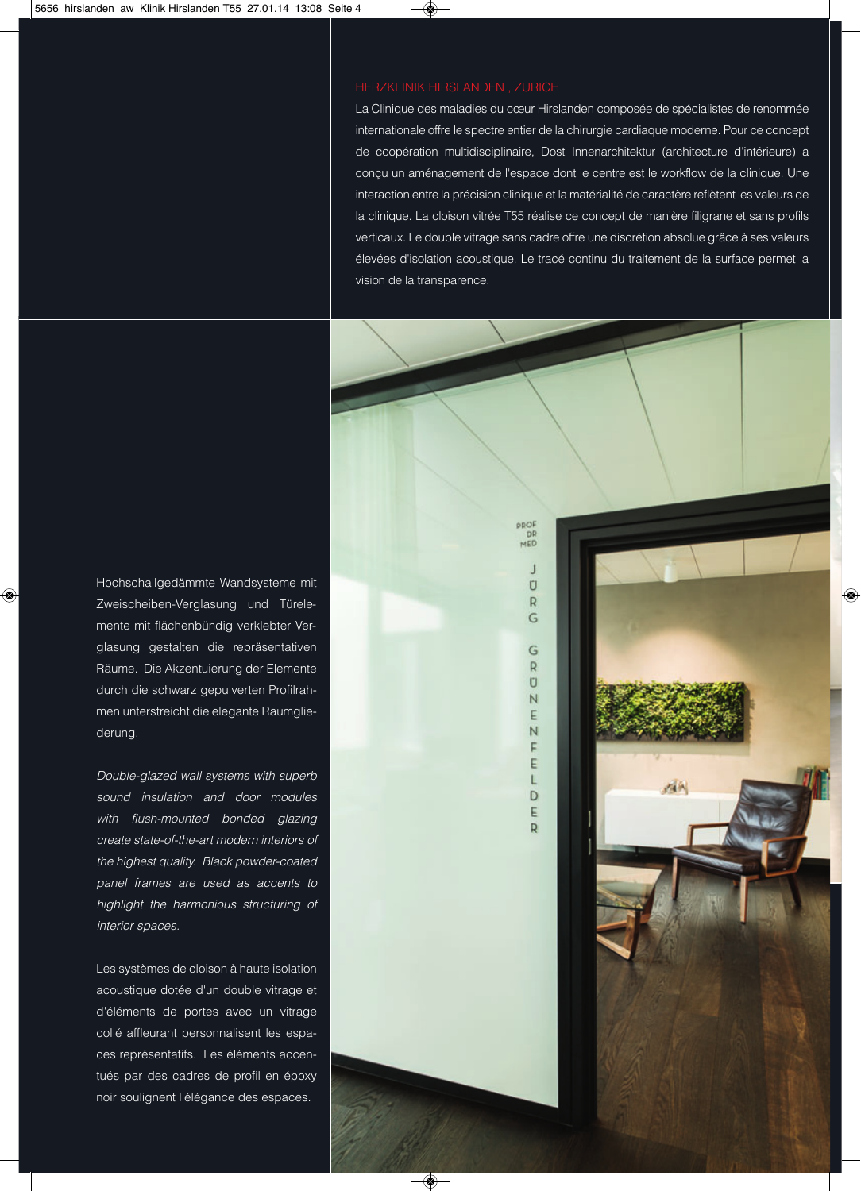# HerzKliniK Hirslanden , zuricH

La Clinique des maladies du cœur Hirslanden composée de spécialistes de renommée internationale offre le spectre entier de la chirurgie cardiaque moderne. Pour ce concept de coopération multidisciplinaire, Dost Innenarchitektur (architecture d'intérieure) a conçu un aménagement de l'espace dont le centre est le workflow de la clinique. Une interaction entre la précision clinique et la matérialité de caractère reflètent les valeurs de la clinique. La cloison vitrée T55 réalise ce concept de manière filigrane et sans profils verticaux. le double vitrage sans cadre offre une discrétion absolue grâce à ses valeurs élevées d'isolation acoustique. le tracé continu du traitement de la surface permet la vision de la transparence.

Hochschallgedämmte Wandsysteme mit zweischeiben-Verglasung und Türelemente mit flächenbündig verklebter Verglasung gestalten die repräsentativen Räume. Die Akzentuierung der Elemente durch die schwarz gepulverten Profilrahmen unterstreicht die elegante Raumgliederung.

Double-glazed wall systems with superb sound insulation and door modules with flush-mounted bonded glazing create state-of-the-art modern interiors of the highest quality. Black powder-coated panel frames are used as accents to highlight the harmonious structuring of interior spaces.

Les systèmes de cloison à haute isolation acoustique dotée d'un double vitrage et d'éléments de portes avec un vitrage collé affleurant personnalisent les espaces représentatifs. les éléments accentués par des cadres de profil en époxy noir soulignent l'élégance des espaces.